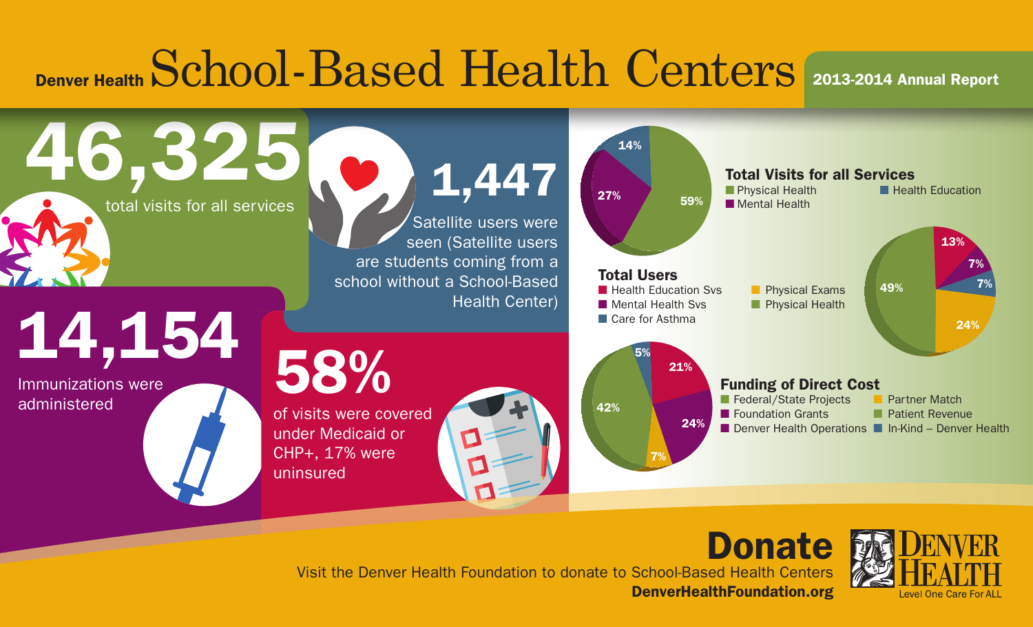## Denver Health School-Based Health Centers 2013-2014 Annual Report



Donate Visit the Denver Health Foundation to donate to School-Based Health Centers DenverHealthFoundation.org